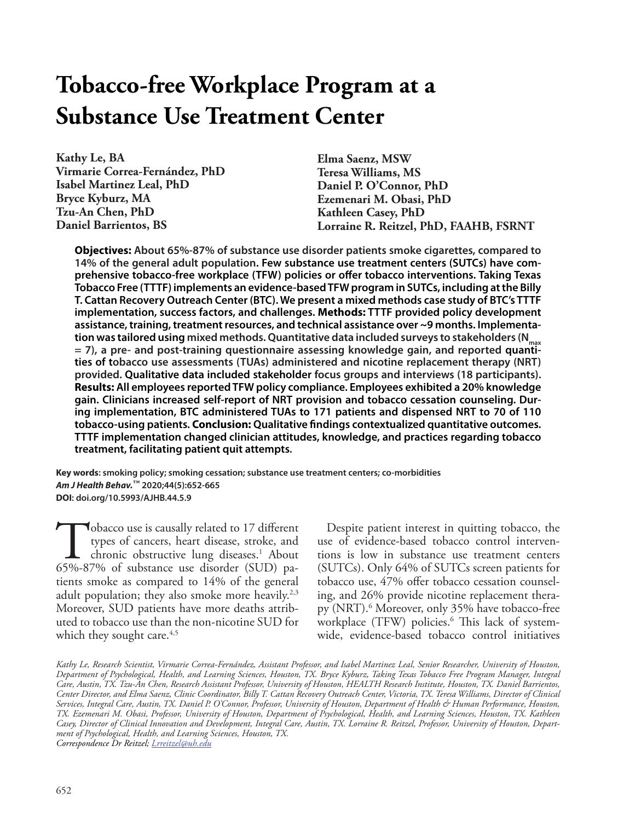# **Tobacco-free Workplace Program at a Substance Use Treatment Center**

**Kathy Le, BA Virmarie Correa-Fernández, PhD Isabel Martinez Leal, PhD Bryce Kyburz, MA Tzu-An Chen, PhD Daniel Barrientos, BS**

**Elma Saenz, MSW Teresa Williams, MS Daniel P. O'Connor, PhD Ezemenari M. Obasi, PhD Kathleen Casey, PhD Lorraine R. Reitzel, PhD, FAAHB, FSRNT**

**Objectives: About 65%-87% of substance use disorder patients smoke cigarettes, compared to 14% of the general adult population. Few substance use treatment centers (SUTCs) have comprehensive tobacco-free workplace (TFW) policies or offer tobacco interventions. Taking Texas Tobacco Free (TTTF) implements an evidence-based TFW program in SUTCs, including at the Billy T. Cattan Recovery Outreach Center (BTC). We present a mixed methods case study of BTC's TTTF implementation, success factors, and challenges. Methods: TTTF provided policy development assistance, training, treatment resources, and technical assistance over ~9 months. Implementa**tion was tailored using mixed methods. Quantitative data included surveys to stakeholders (N<sub>max</sub> **= 7), a pre- and post-training questionnaire assessing knowledge gain, and reported quantities of tobacco use assessments (TUAs) administered and nicotine replacement therapy (NRT) provided. Qualitative data included stakeholder focus groups and interviews (18 participants). Results: All employees reported TFW policy compliance. Employees exhibited a 20% knowledge gain. Clinicians increased self-report of NRT provision and tobacco cessation counseling. During implementation, BTC administered TUAs to 171 patients and dispensed NRT to 70 of 110 tobacco-using patients. Conclusion: Qualitative findings contextualized quantitative outcomes. TTTF implementation changed clinician attitudes, knowledge, and practices regarding tobacco treatment, facilitating patient quit attempts.**

**Key words: smoking policy; smoking cessation; substance use treatment centers; co-morbidities** *Am J Health Behav.***™ 2020;44(5):652-665 DOI: doi.org/10.5993/AJHB.44.5.9**

Tobacco use is causally related to 17 different<br>types of cancers, heart disease, stroke, and<br>chronic obstructive lung diseases.<sup>1</sup> About<br>65%-87% of substance use disorder (SUD) patypes of cancers, heart disease, stroke, and chronic obstructive lung diseases.<sup>1</sup> About 65%-87% of substance use disorder (SUD) patients smoke as compared to 14% of the general adult population; they also smoke more heavily.<sup>2,3</sup> Moreover, SUD patients have more deaths attributed to tobacco use than the non-nicotine SUD for which they sought care.<sup>4,5</sup>

Despite patient interest in quitting tobacco, the use of evidence-based tobacco control interventions is low in substance use treatment centers (SUTCs). Only 64% of SUTCs screen patients for tobacco use, 47% offer tobacco cessation counseling, and 26% provide nicotine replacement therapy (NRT).<sup>6</sup> Moreover, only 35% have tobacco-free workplace (TFW) policies.6 This lack of systemwide, evidence-based tobacco control initiatives

*Kathy Le, Research Scientist, Virmarie Correa-Fernández, Assistant Professor, and Isabel Martinez Leal, Senior Researcher, University of Houston, Department of Psychological, Health, and Learning Sciences, Houston, TX. Bryce Kyburz, Taking Texas Tobacco Free Program Manager, Integral Care, Austin, TX. Tzu-An Chen, Research Assistant Professor, University of Houston, HEALTH Research Institute, Houston, TX. Daniel Barrientos, Center Director, and Elma Saenz, Clinic Coordinator, Billy T. Cattan Recovery Outreach Center, Victoria, TX. Teresa Williams, Director of Clinical Services, Integral Care, Austin, TX. Daniel P. O'Connor, Professor, University of Houston, Department of Health & Human Performance, Houston, TX. Ezemenari M. Obasi, Professor, University of Houston, Department of Psychological, Health, and Learning Sciences, Houston, TX. Kathleen Casey, Director of Clinical Innovation and Development, Integral Care, Austin, TX. Lorraine R. Reitzel, Professor, University of Houston, Department of Psychological, Health, and Learning Sciences, Houston, TX. Correspondence Dr Reitzel; Lrreitzel@uh.edu*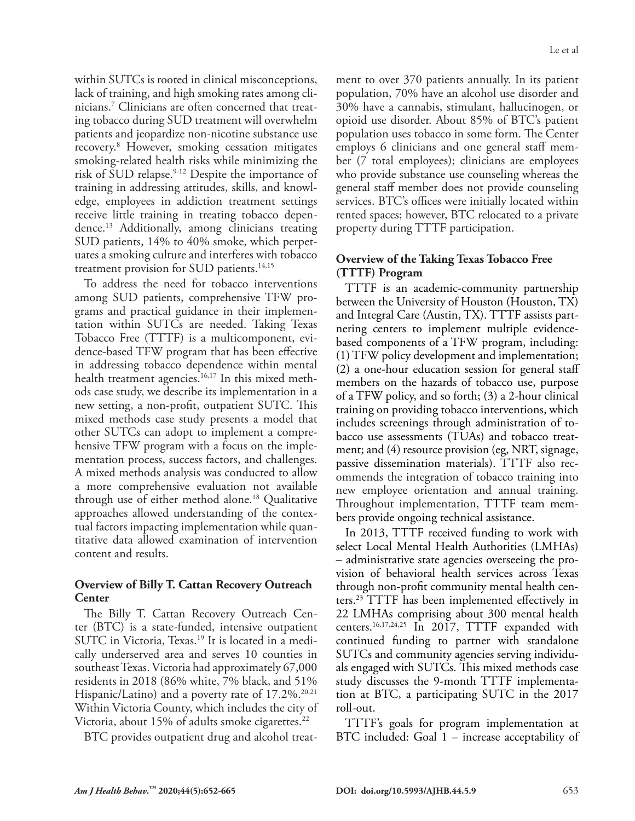within SUTCs is rooted in clinical misconceptions, lack of training, and high smoking rates among clinicians.7 Clinicians are often concerned that treating tobacco during SUD treatment will overwhelm patients and jeopardize non-nicotine substance use recovery.8 However, smoking cessation mitigates smoking-related health risks while minimizing the risk of SUD relapse.<sup>9-12</sup> Despite the importance of training in addressing attitudes, skills, and knowledge, employees in addiction treatment settings receive little training in treating tobacco dependence.13 Additionally, among clinicians treating SUD patients, 14% to 40% smoke, which perpetuates a smoking culture and interferes with tobacco treatment provision for SUD patients.<sup>14,15</sup>

To address the need for tobacco interventions among SUD patients, comprehensive TFW programs and practical guidance in their implementation within SUTCs are needed. Taking Texas Tobacco Free (TTTF) is a multicomponent, evidence-based TFW program that has been effective in addressing tobacco dependence within mental health treatment agencies.<sup>16,17</sup> In this mixed methods case study, we describe its implementation in a new setting, a non-profit, outpatient SUTC. This mixed methods case study presents a model that other SUTCs can adopt to implement a comprehensive TFW program with a focus on the implementation process, success factors, and challenges. A mixed methods analysis was conducted to allow a more comprehensive evaluation not available through use of either method alone.18 Qualitative approaches allowed understanding of the contextual factors impacting implementation while quantitative data allowed examination of intervention content and results.

## **Overview of Billy T. Cattan Recovery Outreach Center**

The Billy T. Cattan Recovery Outreach Center (BTC) is a state-funded, intensive outpatient SUTC in Victoria, Texas.<sup>19</sup> It is located in a medically underserved area and serves 10 counties in southeast Texas. Victoria had approximately 67,000 residents in 2018 (86% white, 7% black, and 51% Hispanic/Latino) and a poverty rate of  $17.2\%$ .<sup>20,21</sup> Within Victoria County, which includes the city of Victoria, about 15% of adults smoke cigarettes. $^{22}$ 

BTC provides outpatient drug and alcohol treat-

ment to over 370 patients annually. In its patient population, 70% have an alcohol use disorder and 30% have a cannabis, stimulant, hallucinogen, or opioid use disorder. About 85% of BTC's patient population uses tobacco in some form. The Center employs 6 clinicians and one general staff member (7 total employees); clinicians are employees who provide substance use counseling whereas the general staff member does not provide counseling services. BTC's offices were initially located within rented spaces; however, BTC relocated to a private property during TTTF participation.

## **Overview of the Taking Texas Tobacco Free (TTTF) Program**

TTTF is an academic-community partnership between the University of Houston (Houston, TX) and Integral Care (Austin, TX). TTTF assists partnering centers to implement multiple evidencebased components of a TFW program, including: (1) TFW policy development and implementation; (2) a one-hour education session for general staff members on the hazards of tobacco use, purpose of a TFW policy, and so forth; (3) a 2-hour clinical training on providing tobacco interventions, which includes screenings through administration of tobacco use assessments (TUAs) and tobacco treatment; and (4) resource provision (eg, NRT, signage, passive dissemination materials). TTTF also recommends the integration of tobacco training into new employee orientation and annual training. Throughout implementation, TTTF team members provide ongoing technical assistance.

In 2013, TTTF received funding to work with select Local Mental Health Authorities (LMHAs) – administrative state agencies overseeing the provision of behavioral health services across Texas through non-profit community mental health centers.23 TTTF has been implemented effectively in 22 LMHAs comprising about 300 mental health centers.16,17,24,25 In 2017, TTTF expanded with continued funding to partner with standalone SUTCs and community agencies serving individuals engaged with SUTCs. This mixed methods case study discusses the 9-month TTTF implementation at BTC, a participating SUTC in the 2017 roll-out.

TTTF's goals for program implementation at BTC included: Goal 1 – increase acceptability of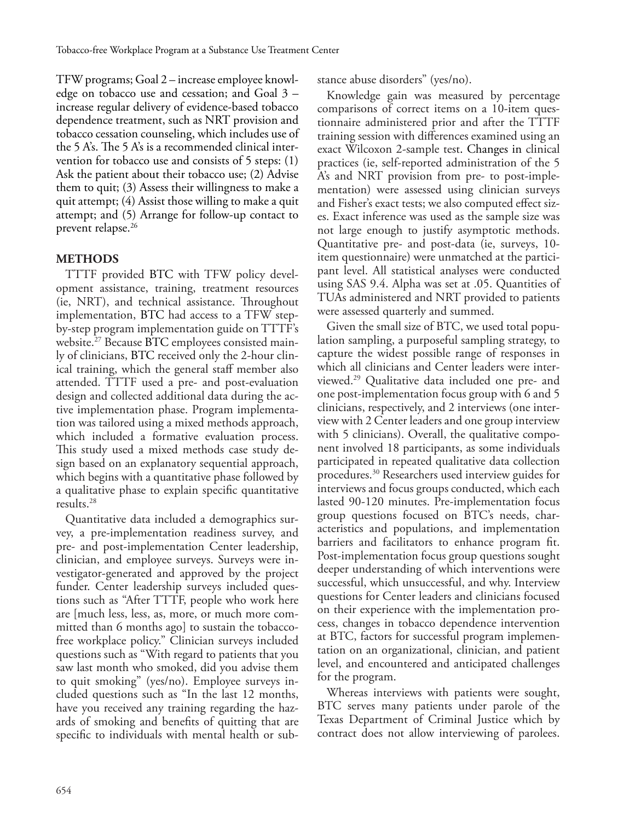TFW programs; Goal 2 – increase employee knowledge on tobacco use and cessation; and Goal 3 – increase regular delivery of evidence-based tobacco dependence treatment, such as NRT provision and tobacco cessation counseling, which includes use of the 5 A's. The 5 A's is a recommended clinical intervention for tobacco use and consists of 5 steps: (1) Ask the patient about their tobacco use; (2) Advise them to quit; (3) Assess their willingness to make a quit attempt; (4) Assist those willing to make a quit attempt; and (5) Arrange for follow-up contact to prevent relapse.26

## **METHODS**

TTTF provided BTC with TFW policy development assistance, training, treatment resources (ie, NRT), and technical assistance. Throughout implementation, BTC had access to a TFW stepby-step program implementation guide on TTTF's website.27 Because BTC employees consisted mainly of clinicians, BTC received only the 2-hour clinical training, which the general staff member also attended. TTTF used a pre- and post-evaluation design and collected additional data during the active implementation phase. Program implementation was tailored using a mixed methods approach, which included a formative evaluation process. This study used a mixed methods case study design based on an explanatory sequential approach, which begins with a quantitative phase followed by a qualitative phase to explain specific quantitative results.28

Quantitative data included a demographics survey, a pre-implementation readiness survey, and pre- and post-implementation Center leadership, clinician, and employee surveys. Surveys were investigator-generated and approved by the project funder. Center leadership surveys included questions such as "After TTTF, people who work here are [much less, less, as, more, or much more committed than 6 months ago] to sustain the tobaccofree workplace policy." Clinician surveys included questions such as "With regard to patients that you saw last month who smoked, did you advise them to quit smoking" (yes/no). Employee surveys included questions such as "In the last 12 months, have you received any training regarding the hazards of smoking and benefits of quitting that are specific to individuals with mental health or substance abuse disorders" (yes/no).

Knowledge gain was measured by percentage comparisons of correct items on a 10-item questionnaire administered prior and after the TTTF training session with differences examined using an exact Wilcoxon 2-sample test. Changes in clinical practices (ie, self-reported administration of the 5 A's and NRT provision from pre- to post-implementation) were assessed using clinician surveys and Fisher's exact tests; we also computed effect sizes. Exact inference was used as the sample size was not large enough to justify asymptotic methods. Quantitative pre- and post-data (ie, surveys, 10 item questionnaire) were unmatched at the participant level. All statistical analyses were conducted using SAS 9.4. Alpha was set at .05. Quantities of TUAs administered and NRT provided to patients were assessed quarterly and summed.

Given the small size of BTC, we used total population sampling, a purposeful sampling strategy, to capture the widest possible range of responses in which all clinicians and Center leaders were interviewed.29 Qualitative data included one pre- and one post-implementation focus group with 6 and 5 clinicians, respectively, and 2 interviews (one interview with 2 Center leaders and one group interview with 5 clinicians). Overall, the qualitative component involved 18 participants, as some individuals participated in repeated qualitative data collection procedures.30 Researchers used interview guides for interviews and focus groups conducted, which each lasted 90-120 minutes. Pre-implementation focus group questions focused on BTC's needs, characteristics and populations, and implementation barriers and facilitators to enhance program fit. Post-implementation focus group questions sought deeper understanding of which interventions were successful, which unsuccessful, and why. Interview questions for Center leaders and clinicians focused on their experience with the implementation process, changes in tobacco dependence intervention at BTC, factors for successful program implementation on an organizational, clinician, and patient level, and encountered and anticipated challenges for the program.

Whereas interviews with patients were sought, BTC serves many patients under parole of the Texas Department of Criminal Justice which by contract does not allow interviewing of parolees.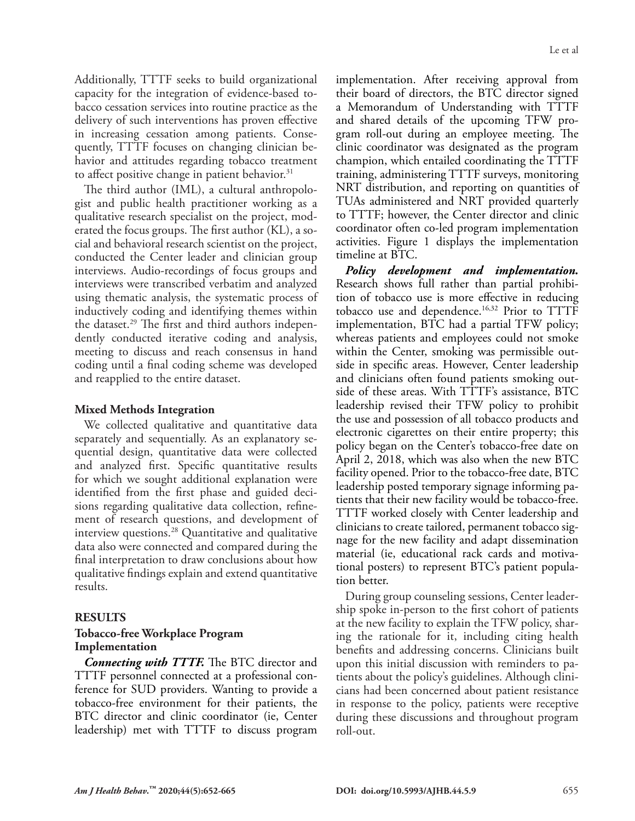Additionally, TTTF seeks to build organizational capacity for the integration of evidence-based tobacco cessation services into routine practice as the delivery of such interventions has proven effective in increasing cessation among patients. Consequently, TTTF focuses on changing clinician behavior and attitudes regarding tobacco treatment to affect positive change in patient behavior. $31$ 

The third author (IML), a cultural anthropologist and public health practitioner working as a qualitative research specialist on the project, moderated the focus groups. The first author (KL), a social and behavioral research scientist on the project, conducted the Center leader and clinician group interviews. Audio-recordings of focus groups and interviews were transcribed verbatim and analyzed using thematic analysis, the systematic process of inductively coding and identifying themes within the dataset.<sup>29</sup> The first and third authors independently conducted iterative coding and analysis, meeting to discuss and reach consensus in hand coding until a final coding scheme was developed and reapplied to the entire dataset.

#### **Mixed Methods Integration**

We collected qualitative and quantitative data separately and sequentially. As an explanatory sequential design, quantitative data were collected and analyzed first. Specific quantitative results for which we sought additional explanation were identified from the first phase and guided decisions regarding qualitative data collection, refinement of research questions, and development of interview questions. $^{28}$  Quantitative and qualitative data also were connected and compared during the final interpretation to draw conclusions about how qualitative findings explain and extend quantitative results.

#### **RESULTS**

## **Tobacco-free Workplace Program Implementation**

*Connecting with TTTF.* The BTC director and TTTF personnel connected at a professional conference for SUD providers. Wanting to provide a tobacco-free environment for their patients, the BTC director and clinic coordinator (ie, Center leadership) met with TTTF to discuss program implementation. After receiving approval from their board of directors, the BTC director signed a Memorandum of Understanding with TTTF and shared details of the upcoming TFW program roll-out during an employee meeting. The clinic coordinator was designated as the program champion, which entailed coordinating the TTTF training, administering TTTF surveys, monitoring NRT distribution, and reporting on quantities of TUAs administered and NRT provided quarterly to TTTF; however, the Center director and clinic coordinator often co-led program implementation activities. Figure 1 displays the implementation timeline at BTC.

*Policy development and implementation.* Research shows full rather than partial prohibition of tobacco use is more effective in reducing tobacco use and dependence.16,32 Prior to TTTF implementation, BTC had a partial TFW policy; whereas patients and employees could not smoke within the Center, smoking was permissible outside in specific areas. However, Center leadership and clinicians often found patients smoking outside of these areas. With TTTF's assistance, BTC leadership revised their TFW policy to prohibit the use and possession of all tobacco products and electronic cigarettes on their entire property; this policy began on the Center's tobacco-free date on April 2, 2018, which was also when the new BTC facility opened. Prior to the tobacco-free date, BTC leadership posted temporary signage informing patients that their new facility would be tobacco-free. TTTF worked closely with Center leadership and clinicians to create tailored, permanent tobacco signage for the new facility and adapt dissemination material (ie, educational rack cards and motivational posters) to represent BTC's patient population better.

During group counseling sessions, Center leadership spoke in-person to the first cohort of patients at the new facility to explain the TFW policy, sharing the rationale for it, including citing health benefits and addressing concerns. Clinicians built upon this initial discussion with reminders to patients about the policy's guidelines. Although clinicians had been concerned about patient resistance in response to the policy, patients were receptive during these discussions and throughout program roll-out.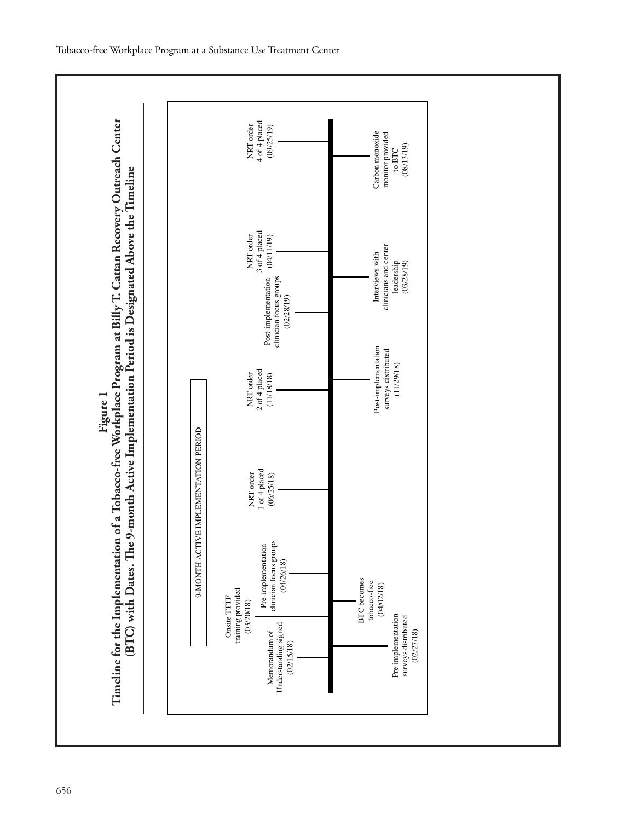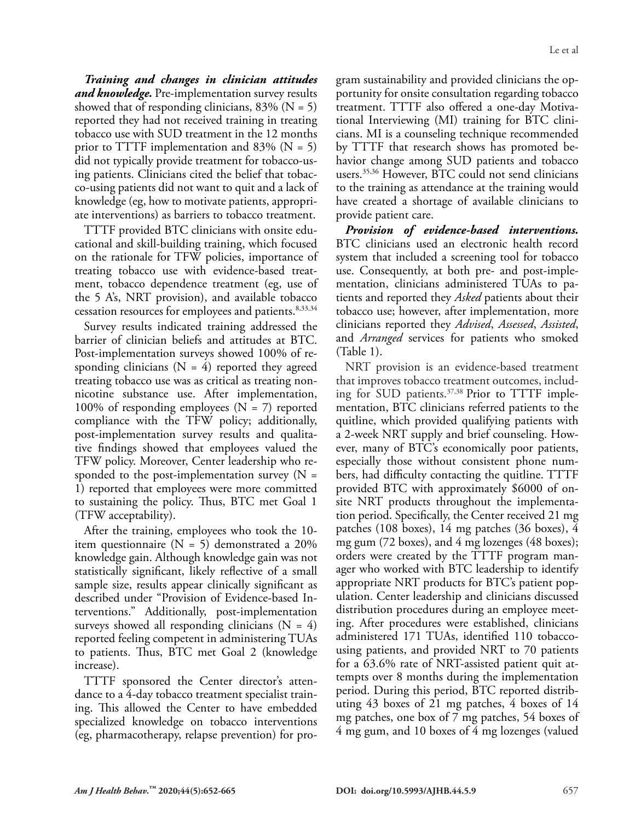*Training and changes in clinician attitudes and knowledge.* Pre-implementation survey results showed that of responding clinicians,  $83\%$  (N = 5) reported they had not received training in treating tobacco use with SUD treatment in the 12 months prior to TTTF implementation and  $83\%$  (N = 5) did not typically provide treatment for tobacco-using patients. Clinicians cited the belief that tobacco-using patients did not want to quit and a lack of knowledge (eg, how to motivate patients, appropriate interventions) as barriers to tobacco treatment.

TTTF provided BTC clinicians with onsite educational and skill-building training, which focused on the rationale for TFW policies, importance of treating tobacco use with evidence-based treatment, tobacco dependence treatment (eg, use of the 5 A's, NRT provision), and available tobacco cessation resources for employees and patients.<sup>8,33,34</sup>

Survey results indicated training addressed the barrier of clinician beliefs and attitudes at BTC. Post-implementation surveys showed 100% of responding clinicians  $(N = 4)$  reported they agreed treating tobacco use was as critical as treating nonnicotine substance use. After implementation, 100% of responding employees  $(N = 7)$  reported compliance with the TFW policy; additionally, post-implementation survey results and qualitative findings showed that employees valued the TFW policy. Moreover, Center leadership who responded to the post-implementation survey  $(N =$ 1) reported that employees were more committed to sustaining the policy. Thus, BTC met Goal 1 (TFW acceptability).

After the training, employees who took the 10 item questionnaire ( $N = 5$ ) demonstrated a 20% knowledge gain. Although knowledge gain was not statistically significant, likely reflective of a small sample size, results appear clinically significant as described under "Provision of Evidence-based Interventions." Additionally, post-implementation surveys showed all responding clinicians  $(N = 4)$ reported feeling competent in administering TUAs to patients. Thus, BTC met Goal 2 (knowledge increase).

TTTF sponsored the Center director's attendance to a 4-day tobacco treatment specialist training. This allowed the Center to have embedded specialized knowledge on tobacco interventions (eg, pharmacotherapy, relapse prevention) for program sustainability and provided clinicians the opportunity for onsite consultation regarding tobacco treatment. TTTF also offered a one-day Motivational Interviewing (MI) training for BTC clinicians. MI is a counseling technique recommended by TTTF that research shows has promoted behavior change among SUD patients and tobacco users.35,36 However, BTC could not send clinicians to the training as attendance at the training would have created a shortage of available clinicians to provide patient care.

*Provision of evidence-based interventions.* BTC clinicians used an electronic health record system that included a screening tool for tobacco use. Consequently, at both pre- and post-implementation, clinicians administered TUAs to patients and reported they *Asked* patients about their tobacco use; however, after implementation, more clinicians reported they *Advised*, *Assessed*, *Assisted*, and *Arranged* services for patients who smoked (Table 1).

NRT provision is an evidence-based treatment that improves tobacco treatment outcomes, including for SUD patients.37,38 Prior to TTTF implementation, BTC clinicians referred patients to the quitline, which provided qualifying patients with a 2-week NRT supply and brief counseling. However, many of BTC's economically poor patients, especially those without consistent phone numbers, had difficulty contacting the quitline. TTTF provided BTC with approximately \$6000 of onsite NRT products throughout the implementation period. Specifically, the Center received 21 mg patches (108 boxes), 14 mg patches (36 boxes), 4 mg gum (72 boxes), and 4 mg lozenges (48 boxes); orders were created by the TTTF program manager who worked with BTC leadership to identify appropriate NRT products for BTC's patient population. Center leadership and clinicians discussed distribution procedures during an employee meeting. After procedures were established, clinicians administered 171 TUAs, identified 110 tobaccousing patients, and provided NRT to 70 patients for a 63.6% rate of NRT-assisted patient quit attempts over 8 months during the implementation period. During this period, BTC reported distributing 43 boxes of 21 mg patches, 4 boxes of 14 mg patches, one box of 7 mg patches, 54 boxes of 4 mg gum, and 10 boxes of 4 mg lozenges (valued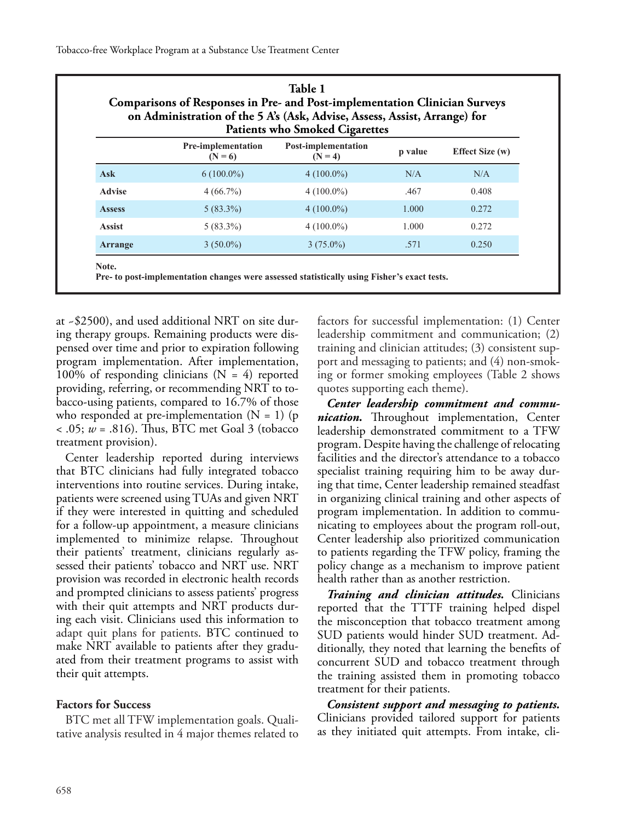| on Administration of the 5 A's (Ask, Advise, Assess, Assist, Arrange) for<br><b>Patients who Smoked Cigarettes</b> |                                        |                                         |         |                        |  |
|--------------------------------------------------------------------------------------------------------------------|----------------------------------------|-----------------------------------------|---------|------------------------|--|
|                                                                                                                    | <b>Pre-implementation</b><br>$(N = 6)$ | <b>Post-implementation</b><br>$(N = 4)$ | p value | <b>Effect Size (w)</b> |  |
| <b>Ask</b>                                                                                                         | $6(100.0\%)$                           | $4(100.0\%)$                            | N/A     | N/A                    |  |
| <b>Advise</b>                                                                                                      | $4(66.7\%)$                            | $4(100.0\%)$                            | .467    | 0.408                  |  |
| <b>Assess</b>                                                                                                      | $5(83.3\%)$                            | $4(100.0\%)$                            | 1.000   | 0.272                  |  |
| <b>Assist</b>                                                                                                      | $5(83.3\%)$                            | $4(100.0\%)$                            | 1.000   | 0.272                  |  |
| Arrange                                                                                                            | $3(50.0\%)$                            | $3(75.0\%)$                             | .571    | 0.250                  |  |

at ~\$2500), and used additional NRT on site during therapy groups. Remaining products were dispensed over time and prior to expiration following program implementation. After implementation, 100% of responding clinicians  $(N = 4)$  reported providing, referring, or recommending NRT to tobacco-using patients, compared to 16.7% of those who responded at pre-implementation  $(N = 1)$  (p < .05; *w* = .816). Thus, BTC met Goal 3 (tobacco treatment provision).

Center leadership reported during interviews that BTC clinicians had fully integrated tobacco interventions into routine services. During intake, patients were screened using TUAs and given NRT if they were interested in quitting and scheduled for a follow-up appointment, a measure clinicians implemented to minimize relapse. Throughout their patients' treatment, clinicians regularly assessed their patients' tobacco and NRT use. NRT provision was recorded in electronic health records and prompted clinicians to assess patients' progress with their quit attempts and NRT products during each visit. Clinicians used this information to adapt quit plans for patients. BTC continued to make NRT available to patients after they graduated from their treatment programs to assist with their quit attempts.

## **Factors for Success**

BTC met all TFW implementation goals. Qualitative analysis resulted in 4 major themes related to factors for successful implementation: (1) Center leadership commitment and communication; (2) training and clinician attitudes; (3) consistent support and messaging to patients; and (4) non-smoking or former smoking employees (Table 2 shows quotes supporting each theme).

*Center leadership commitment and communication.* Throughout implementation, Center leadership demonstrated commitment to a TFW program. Despite having the challenge of relocating facilities and the director's attendance to a tobacco specialist training requiring him to be away during that time, Center leadership remained steadfast in organizing clinical training and other aspects of program implementation. In addition to communicating to employees about the program roll-out, Center leadership also prioritized communication to patients regarding the TFW policy, framing the policy change as a mechanism to improve patient health rather than as another restriction.

*Training and clinician attitudes.* Clinicians reported that the TTTF training helped dispel the misconception that tobacco treatment among SUD patients would hinder SUD treatment. Additionally, they noted that learning the benefits of concurrent SUD and tobacco treatment through the training assisted them in promoting tobacco treatment for their patients.

*Consistent support and messaging to patients.*  Clinicians provided tailored support for patients as they initiated quit attempts. From intake, cli-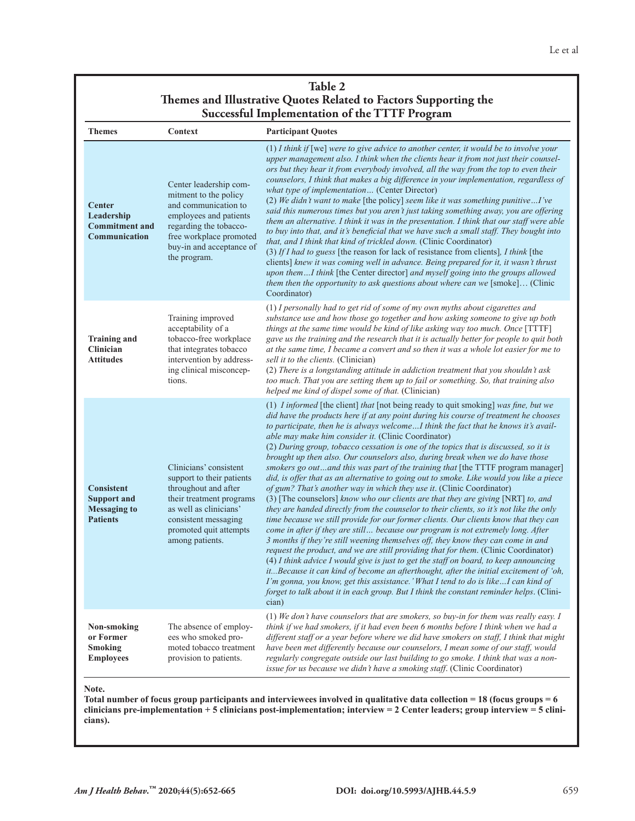| Table 2                                                          |
|------------------------------------------------------------------|
| Themes and Illustrative Quotes Related to Factors Supporting the |
| Successful Implementation of the TTTF Program                    |

| <b>Themes</b>                                                                     | Context                                                                                                                                                                                                | <b>Participant Quotes</b>                                                                                                                                                                                                                                                                                                                                                                                                                                                                                                                                                                                                                                                                                                                                                                                                                                                                                                                                                                                                                                                                                                                                                                                                                                                                                                                                                                                                                                                                                                                                                                                                                                                                                 |
|-----------------------------------------------------------------------------------|--------------------------------------------------------------------------------------------------------------------------------------------------------------------------------------------------------|-----------------------------------------------------------------------------------------------------------------------------------------------------------------------------------------------------------------------------------------------------------------------------------------------------------------------------------------------------------------------------------------------------------------------------------------------------------------------------------------------------------------------------------------------------------------------------------------------------------------------------------------------------------------------------------------------------------------------------------------------------------------------------------------------------------------------------------------------------------------------------------------------------------------------------------------------------------------------------------------------------------------------------------------------------------------------------------------------------------------------------------------------------------------------------------------------------------------------------------------------------------------------------------------------------------------------------------------------------------------------------------------------------------------------------------------------------------------------------------------------------------------------------------------------------------------------------------------------------------------------------------------------------------------------------------------------------------|
| <b>Center</b><br>Leadership<br><b>Commitment</b> and<br>Communication             | Center leadership com-<br>mitment to the policy<br>and communication to<br>employees and patients<br>regarding the tobacco-<br>free workplace promoted<br>buy-in and acceptance of<br>the program.     | $(1)$ I think if [we] were to give advice to another center, it would be to involve your<br>upper management also. I think when the clients hear it from not just their counsel-<br>ors but they hear it from everybody involved, all the way from the top to even their<br>counselors, I think that makes a big difference in your implementation, regardless of<br>what type of implementation (Center Director)<br>(2) We didn't want to make [the policy] seem like it was something punitiveI've<br>said this numerous times but you aren't just taking something away, you are offering<br>them an alternative. I think it was in the presentation. I think that our staff were able<br>to buy into that, and it's beneficial that we have such a small staff. They bought into<br>that, and I think that kind of trickled down. (Clinic Coordinator)<br>(3) If I had to guess [the reason for lack of resistance from clients], I think [the<br>clients] knew it was coming well in advance. Being prepared for it, it wasn't thrust<br>upon them I think [the Center director] and myself going into the groups allowed<br>them then the opportunity to ask questions about where can we $[smoke]$ (Clinic<br>Coordinator)                                                                                                                                                                                                                                                                                                                                                                                                                                                                        |
| <b>Training and</b><br>Clinician<br><b>Attitudes</b>                              | Training improved<br>acceptability of a<br>tobacco-free workplace<br>that integrates tobacco<br>intervention by address-<br>ing clinical misconcep-<br>tions.                                          | $(1)$ I personally had to get rid of some of my own myths about cigarettes and<br>substance use and how those go together and how asking someone to give up both<br>things at the same time would be kind of like asking way too much. Once [TTTF]<br>gave us the training and the research that it is actually better for people to quit both<br>at the same time, I became a convert and so then it was a whole lot easier for me to<br>sell it to the clients. (Clinician)<br>(2) There is a longstanding attitude in addiction treatment that you shouldn't ask<br>too much. That you are setting them up to fail or something. So, that training also<br>helped me kind of dispel some of that. (Clinician)                                                                                                                                                                                                                                                                                                                                                                                                                                                                                                                                                                                                                                                                                                                                                                                                                                                                                                                                                                                          |
| <b>Consistent</b><br><b>Support and</b><br><b>Messaging to</b><br><b>Patients</b> | Clinicians' consistent<br>support to their patients<br>throughout and after<br>their treatment programs<br>as well as clinicians'<br>consistent messaging<br>promoted quit attempts<br>among patients. | (1) <i>I informed</i> [the client] <i>that</i> [not being ready to quit smoking] <i>was fine</i> , <i>but we</i><br>did have the products here if at any point during his course of treatment he chooses<br>to participate, then he is always welcomeI think the fact that he knows it's avail-<br>able may make him consider it. (Clinic Coordinator)<br>(2) During group, tobacco cessation is one of the topics that is discussed, so it is<br>brought up then also. Our counselors also, during break when we do have those<br>smokers go outand this was part of the training that [the TTTF program manager]<br>did, is offer that as an alternative to going out to smoke. Like would you like a piece<br>of gum? That's another way in which they use it. (Clinic Coordinator)<br>$(3)$ [The counselors] know who our clients are that they are giving [NRT] to, and<br>they are handed directly from the counselor to their clients, so it's not like the only<br>time because we still provide for our former clients. Our clients know that they can<br>come in after if they are still because our program is not extremely long. After<br>3 months if they're still weening themselves off, they know they can come in and<br>request the product, and we are still providing that for them. (Clinic Coordinator)<br>(4) I think advice I would give is just to get the staff on board, to keep announcing<br>itBecause it can kind of become an afterthought, after the initial excitement of 'oh,<br>I'm gonna, you know, get this assistance.' What I tend to do is likeI can kind of<br>forget to talk about it in each group. But I think the constant reminder helps. (Clini-<br>cian) |
| Non-smoking<br>or Former<br>Smoking<br><b>Employees</b>                           | The absence of employ-<br>ees who smoked pro-<br>moted tobacco treatment<br>provision to patients.                                                                                                     | (1) We don't have counselors that are smokers, so buy-in for them was really easy. I<br>think if we had smokers, if it had even been 6 months before I think when we had a<br>different staff or a year before where we did have smokers on staff, I think that might<br>have been met differently because our counselors, I mean some of our staff, would<br>regularly congregate outside our last building to go smoke. I think that was a non-<br>issue for us because we didn't have a smoking staff. (Clinic Coordinator)                                                                                                                                                                                                                                                                                                                                                                                                                                                                                                                                                                                                                                                                                                                                                                                                                                                                                                                                                                                                                                                                                                                                                                            |

**Note.**

**Total number of focus group participants and interviewees involved in qualitative data collection = 18 (focus groups = 6 clinicians pre-implementation + 5 clinicians post-implementation; interview = 2 Center leaders; group interview = 5 clinicians).**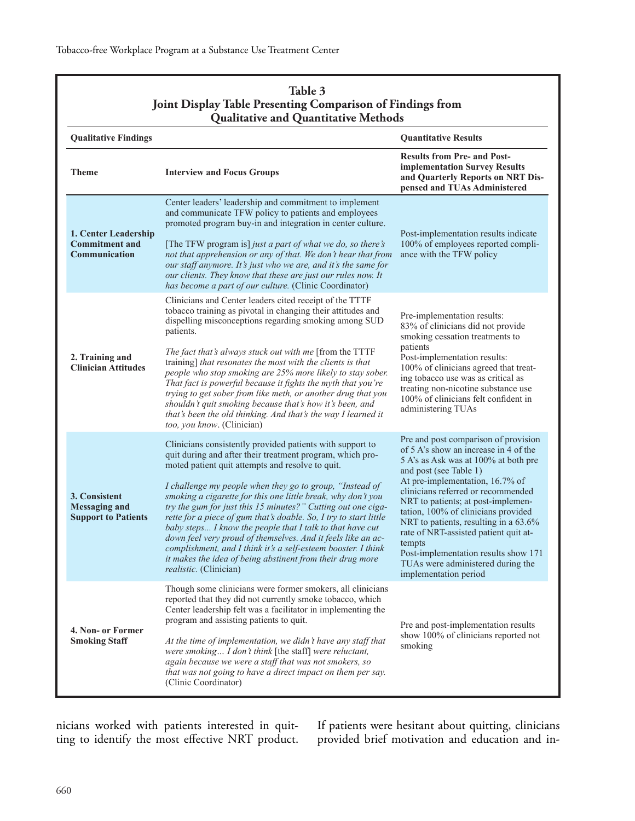| Table 3<br>Joint Display Table Presenting Comparison of Findings from<br><b>Qualitative and Quantitative Methods</b> |                                                                                                                                                                                                                                                                                                                                                                                                                                                                                                                                                                                                                                                                                                                                         |                                                                                                                                                                                                                                                                                                                                                                                                                                                                                                         |  |  |  |
|----------------------------------------------------------------------------------------------------------------------|-----------------------------------------------------------------------------------------------------------------------------------------------------------------------------------------------------------------------------------------------------------------------------------------------------------------------------------------------------------------------------------------------------------------------------------------------------------------------------------------------------------------------------------------------------------------------------------------------------------------------------------------------------------------------------------------------------------------------------------------|---------------------------------------------------------------------------------------------------------------------------------------------------------------------------------------------------------------------------------------------------------------------------------------------------------------------------------------------------------------------------------------------------------------------------------------------------------------------------------------------------------|--|--|--|
| <b>Qualitative Findings</b>                                                                                          |                                                                                                                                                                                                                                                                                                                                                                                                                                                                                                                                                                                                                                                                                                                                         | <b>Quantitative Results</b>                                                                                                                                                                                                                                                                                                                                                                                                                                                                             |  |  |  |
| <b>Theme</b>                                                                                                         | <b>Interview and Focus Groups</b>                                                                                                                                                                                                                                                                                                                                                                                                                                                                                                                                                                                                                                                                                                       | <b>Results from Pre- and Post-</b><br>implementation Survey Results<br>and Quarterly Reports on NRT Dis-<br>pensed and TUAs Administered                                                                                                                                                                                                                                                                                                                                                                |  |  |  |
| 1. Center Leadership<br><b>Commitment and</b><br>Communication                                                       | Center leaders' leadership and commitment to implement<br>and communicate TFW policy to patients and employees<br>promoted program buy-in and integration in center culture.<br>[The TFW program is] just a part of what we do, so there's<br>not that apprehension or any of that. We don't hear that from<br>our staff anymore. It's just who we are, and it's the same for<br>our clients. They know that these are just our rules now. It<br>has become a part of our culture. (Clinic Coordinator)                                                                                                                                                                                                                                 | Post-implementation results indicate<br>100% of employees reported compli-<br>ance with the TFW policy                                                                                                                                                                                                                                                                                                                                                                                                  |  |  |  |
| 2. Training and<br><b>Clinician Attitudes</b>                                                                        | Clinicians and Center leaders cited receipt of the TTTF<br>tobacco training as pivotal in changing their attitudes and<br>dispelling misconceptions regarding smoking among SUD<br>patients.<br>The fact that's always stuck out with me [from the TTTF<br>training] that resonates the most with the clients is that<br>people who stop smoking are 25% more likely to stay sober.<br>That fact is powerful because it fights the myth that you're<br>trying to get sober from like meth, or another drug that you<br>shouldn't quit smoking because that's how it's been, and<br>that's been the old thinking. And that's the way I learned it<br>too, you know. (Clinician)                                                          | Pre-implementation results:<br>83% of clinicians did not provide<br>smoking cessation treatments to<br>patients<br>Post-implementation results:<br>100% of clinicians agreed that treat-<br>ing tobacco use was as critical as<br>treating non-nicotine substance use<br>100% of clinicians felt confident in<br>administering TUAs                                                                                                                                                                     |  |  |  |
| 3. Consistent<br><b>Messaging and</b><br><b>Support to Patients</b>                                                  | Clinicians consistently provided patients with support to<br>quit during and after their treatment program, which pro-<br>moted patient quit attempts and resolve to quit.<br>I challenge my people when they go to group, "Instead of<br>smoking a cigarette for this one little break, why don't you<br>try the gum for just this 15 minutes?" Cutting out one ciga-<br>rette for a piece of gum that's doable. So, I try to start little<br>baby steps I know the people that I talk to that have cut<br>down feel very proud of themselves. And it feels like an ac-<br>complishment, and I think it's a self-esteem booster. I think<br>it makes the idea of being abstinent from their drug more<br><i>realistic.</i> (Clinician) | Pre and post comparison of provision<br>of 5 A's show an increase in 4 of the<br>5 A's as Ask was at 100% at both pre<br>and post (see Table 1)<br>At pre-implementation, 16.7% of<br>clinicians referred or recommended<br>NRT to patients; at post-implemen-<br>tation, 100% of clinicians provided<br>NRT to patients, resulting in a 63.6%<br>rate of NRT-assisted patient quit at-<br>tempts<br>Post-implementation results show 171<br>TUAs were administered during the<br>implementation period |  |  |  |
| 4. Non- or Former<br><b>Smoking Staff</b>                                                                            | Though some clinicians were former smokers, all clinicians<br>reported that they did not currently smoke tobacco, which<br>Center leadership felt was a facilitator in implementing the<br>program and assisting patients to quit.<br>At the time of implementation, we didn't have any staff that<br>were smoking I don't think [the staff] were reluctant,<br>again because we were a staff that was not smokers, so<br>that was not going to have a direct impact on them per say.<br>(Clinic Coordinator)                                                                                                                                                                                                                           | Pre and post-implementation results<br>show 100% of clinicians reported not<br>smoking                                                                                                                                                                                                                                                                                                                                                                                                                  |  |  |  |

nicians worked with patients interested in quitting to identify the most effective NRT product. If patients were hesitant about quitting, clinicians provided brief motivation and education and in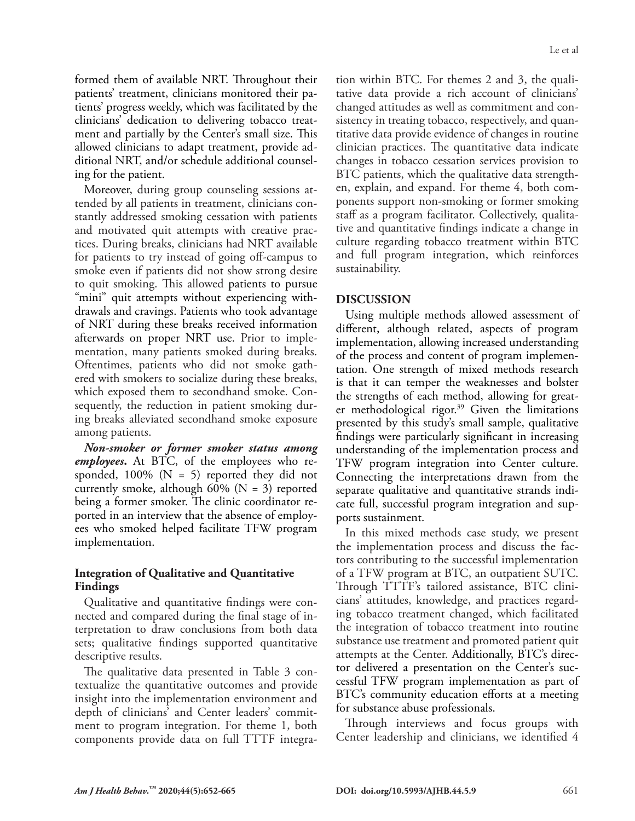formed them of available NRT. Throughout their patients' treatment, clinicians monitored their patients' progress weekly, which was facilitated by the clinicians' dedication to delivering tobacco treatment and partially by the Center's small size. This allowed clinicians to adapt treatment, provide additional NRT, and/or schedule additional counseling for the patient.

Moreover, during group counseling sessions attended by all patients in treatment, clinicians constantly addressed smoking cessation with patients and motivated quit attempts with creative practices. During breaks, clinicians had NRT available for patients to try instead of going off-campus to smoke even if patients did not show strong desire to quit smoking. This allowed patients to pursue "mini" quit attempts without experiencing withdrawals and cravings. Patients who took advantage of NRT during these breaks received information afterwards on proper NRT use. Prior to implementation, many patients smoked during breaks. Oftentimes, patients who did not smoke gathered with smokers to socialize during these breaks, which exposed them to secondhand smoke. Consequently, the reduction in patient smoking during breaks alleviated secondhand smoke exposure among patients.

*Non-smoker or former smoker status among employees***.** At BTC, of the employees who responded,  $100\%$  (N = 5) reported they did not currently smoke, although  $60\%$  (N = 3) reported being a former smoker. The clinic coordinator reported in an interview that the absence of employees who smoked helped facilitate TFW program implementation.

## **Integration of Qualitative and Quantitative Findings**

Qualitative and quantitative findings were connected and compared during the final stage of interpretation to draw conclusions from both data sets; qualitative findings supported quantitative descriptive results.

The qualitative data presented in Table 3 contextualize the quantitative outcomes and provide insight into the implementation environment and depth of clinicians' and Center leaders' commitment to program integration. For theme 1, both components provide data on full TTTF integration within BTC. For themes 2 and 3, the qualitative data provide a rich account of clinicians' changed attitudes as well as commitment and consistency in treating tobacco, respectively, and quantitative data provide evidence of changes in routine clinician practices. The quantitative data indicate changes in tobacco cessation services provision to BTC patients, which the qualitative data strengthen, explain, and expand. For theme 4, both components support non-smoking or former smoking staff as a program facilitator. Collectively, qualitative and quantitative findings indicate a change in culture regarding tobacco treatment within BTC and full program integration, which reinforces sustainability.

## **DISCUSSION**

Using multiple methods allowed assessment of different, although related, aspects of program implementation, allowing increased understanding of the process and content of program implementation. One strength of mixed methods research is that it can temper the weaknesses and bolster the strengths of each method, allowing for greater methodological rigor.<sup>39</sup> Given the limitations presented by this study's small sample, qualitative findings were particularly significant in increasing understanding of the implementation process and TFW program integration into Center culture. Connecting the interpretations drawn from the separate qualitative and quantitative strands indicate full, successful program integration and supports sustainment.

In this mixed methods case study, we present the implementation process and discuss the factors contributing to the successful implementation of a TFW program at BTC, an outpatient SUTC. Through TTTF's tailored assistance, BTC clinicians' attitudes, knowledge, and practices regarding tobacco treatment changed, which facilitated the integration of tobacco treatment into routine substance use treatment and promoted patient quit attempts at the Center. Additionally, BTC's director delivered a presentation on the Center's successful TFW program implementation as part of BTC's community education efforts at a meeting for substance abuse professionals.

Through interviews and focus groups with Center leadership and clinicians, we identified 4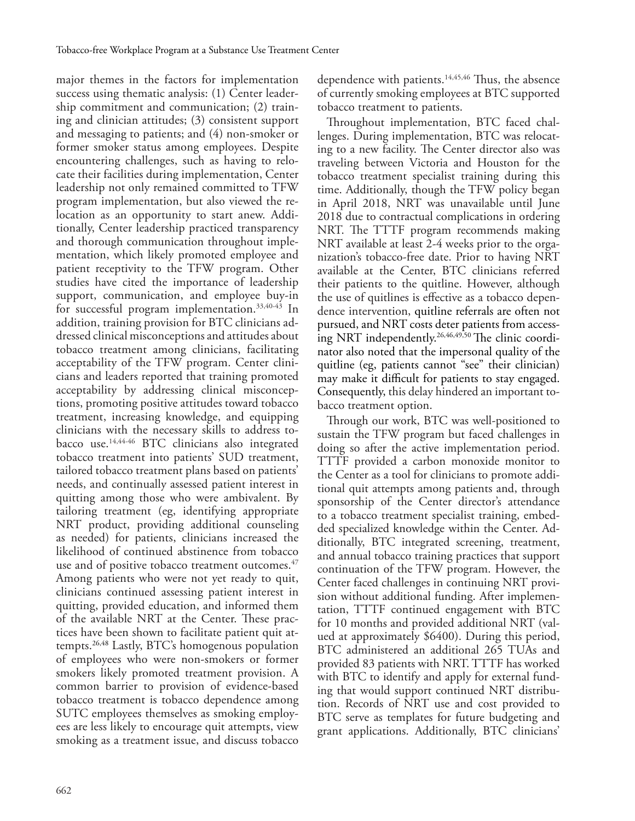major themes in the factors for implementation success using thematic analysis: (1) Center leadership commitment and communication; (2) training and clinician attitudes; (3) consistent support and messaging to patients; and (4) non-smoker or former smoker status among employees. Despite encountering challenges, such as having to relocate their facilities during implementation, Center leadership not only remained committed to TFW program implementation, but also viewed the relocation as an opportunity to start anew. Additionally, Center leadership practiced transparency and thorough communication throughout implementation, which likely promoted employee and patient receptivity to the TFW program. Other studies have cited the importance of leadership support, communication, and employee buy-in for successful program implementation.33,40-43 In addition, training provision for BTC clinicians addressed clinical misconceptions and attitudes about tobacco treatment among clinicians, facilitating acceptability of the TFW program. Center clinicians and leaders reported that training promoted acceptability by addressing clinical misconceptions, promoting positive attitudes toward tobacco treatment, increasing knowledge, and equipping clinicians with the necessary skills to address tobacco use.14,44-46 BTC clinicians also integrated tobacco treatment into patients' SUD treatment, tailored tobacco treatment plans based on patients' needs, and continually assessed patient interest in quitting among those who were ambivalent. By tailoring treatment (eg, identifying appropriate NRT product, providing additional counseling as needed) for patients, clinicians increased the likelihood of continued abstinence from tobacco use and of positive tobacco treatment outcomes.<sup>47</sup> Among patients who were not yet ready to quit, clinicians continued assessing patient interest in quitting, provided education, and informed them of the available NRT at the Center. These practices have been shown to facilitate patient quit attempts.26,48 Lastly, BTC's homogenous population of employees who were non-smokers or former smokers likely promoted treatment provision. A common barrier to provision of evidence-based tobacco treatment is tobacco dependence among SUTC employees themselves as smoking employees are less likely to encourage quit attempts, view smoking as a treatment issue, and discuss tobacco

dependence with patients.<sup>14,45,46</sup> Thus, the absence of currently smoking employees at BTC supported tobacco treatment to patients.

Throughout implementation, BTC faced challenges. During implementation, BTC was relocating to a new facility. The Center director also was traveling between Victoria and Houston for the tobacco treatment specialist training during this time. Additionally, though the TFW policy began in April 2018, NRT was unavailable until June 2018 due to contractual complications in ordering NRT. The TTTF program recommends making NRT available at least 2-4 weeks prior to the organization's tobacco-free date. Prior to having NRT available at the Center, BTC clinicians referred their patients to the quitline. However, although the use of quitlines is effective as a tobacco dependence intervention, quitline referrals are often not pursued, and NRT costs deter patients from accessing NRT independently.26,46,49,50 The clinic coordinator also noted that the impersonal quality of the quitline (eg, patients cannot "see" their clinician) may make it difficult for patients to stay engaged. Consequently, this delay hindered an important tobacco treatment option.

Through our work, BTC was well-positioned to sustain the TFW program but faced challenges in doing so after the active implementation period. TTTF provided a carbon monoxide monitor to the Center as a tool for clinicians to promote additional quit attempts among patients and, through sponsorship of the Center director's attendance to a tobacco treatment specialist training, embedded specialized knowledge within the Center. Additionally, BTC integrated screening, treatment, and annual tobacco training practices that support continuation of the TFW program. However, the Center faced challenges in continuing NRT provision without additional funding. After implementation, TTTF continued engagement with BTC for 10 months and provided additional NRT (valued at approximately \$6400). During this period, BTC administered an additional 265 TUAs and provided 83 patients with NRT. TTTF has worked with BTC to identify and apply for external funding that would support continued NRT distribution. Records of NRT use and cost provided to BTC serve as templates for future budgeting and grant applications. Additionally, BTC clinicians'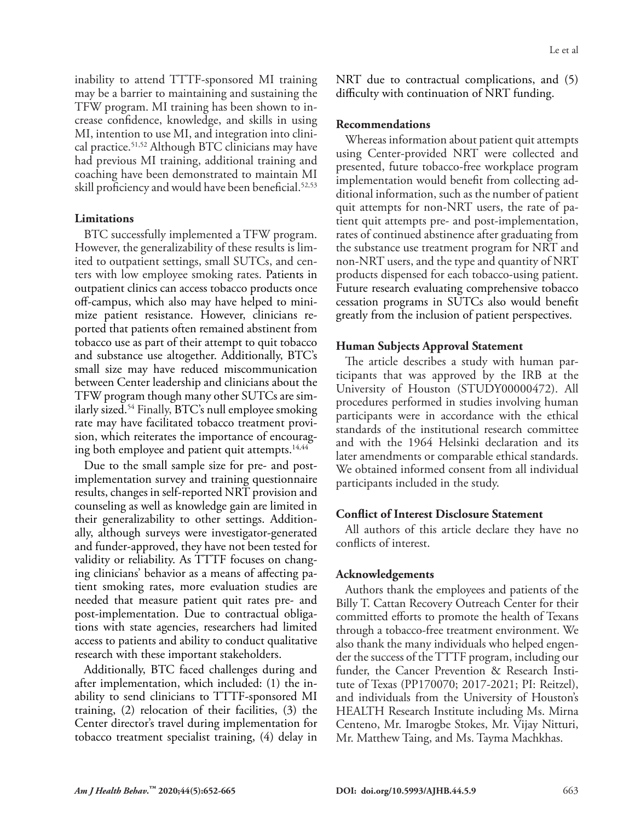inability to attend TTTF-sponsored MI training may be a barrier to maintaining and sustaining the TFW program. MI training has been shown to increase confidence, knowledge, and skills in using MI, intention to use MI, and integration into clinical practice.51,52 Although BTC clinicians may have had previous MI training, additional training and coaching have been demonstrated to maintain MI skill proficiency and would have been beneficial.<sup>52,53</sup>

## **Limitations**

BTC successfully implemented a TFW program. However, the generalizability of these results is limited to outpatient settings, small SUTCs, and centers with low employee smoking rates. Patients in outpatient clinics can access tobacco products once off-campus, which also may have helped to minimize patient resistance. However, clinicians reported that patients often remained abstinent from tobacco use as part of their attempt to quit tobacco and substance use altogether. Additionally, BTC's small size may have reduced miscommunication between Center leadership and clinicians about the TFW program though many other SUTCs are similarly sized.54 Finally, BTC's null employee smoking rate may have facilitated tobacco treatment provision, which reiterates the importance of encouraging both employee and patient quit attempts.<sup>14,44</sup>

Due to the small sample size for pre- and postimplementation survey and training questionnaire results, changes in self-reported NRT provision and counseling as well as knowledge gain are limited in their generalizability to other settings. Additionally, although surveys were investigator-generated and funder-approved, they have not been tested for validity or reliability. As TTTF focuses on changing clinicians' behavior as a means of affecting patient smoking rates, more evaluation studies are needed that measure patient quit rates pre- and post-implementation. Due to contractual obligations with state agencies, researchers had limited access to patients and ability to conduct qualitative research with these important stakeholders.

Additionally, BTC faced challenges during and after implementation, which included: (1) the inability to send clinicians to TTTF-sponsored MI training, (2) relocation of their facilities, (3) the Center director's travel during implementation for tobacco treatment specialist training, (4) delay in

NRT due to contractual complications, and (5) difficulty with continuation of NRT funding.

#### **Recommendations**

Whereas information about patient quit attempts using Center-provided NRT were collected and presented, future tobacco-free workplace program implementation would benefit from collecting additional information, such as the number of patient quit attempts for non-NRT users, the rate of patient quit attempts pre- and post-implementation, rates of continued abstinence after graduating from the substance use treatment program for NRT and non-NRT users, and the type and quantity of NRT products dispensed for each tobacco-using patient. Future research evaluating comprehensive tobacco cessation programs in SUTCs also would benefit greatly from the inclusion of patient perspectives.

## **Human Subjects Approval Statement**

The article describes a study with human participants that was approved by the IRB at the University of Houston (STUDY00000472). All procedures performed in studies involving human participants were in accordance with the ethical standards of the institutional research committee and with the 1964 Helsinki declaration and its later amendments or comparable ethical standards. We obtained informed consent from all individual participants included in the study.

## **Conflict of Interest Disclosure Statement**

All authors of this article declare they have no conflicts of interest.

## **Acknowledgements**

Authors thank the employees and patients of the Billy T. Cattan Recovery Outreach Center for their committed efforts to promote the health of Texans through a tobacco-free treatment environment. We also thank the many individuals who helped engender the success of the TTTF program, including our funder, the Cancer Prevention & Research Institute of Texas (PP170070; 2017-2021; PI: Reitzel), and individuals from the University of Houston's HEALTH Research Institute including Ms. Mirna Centeno, Mr. Imarogbe Stokes, Mr. Vijay Nitturi, Mr. Matthew Taing, and Ms. Tayma Machkhas.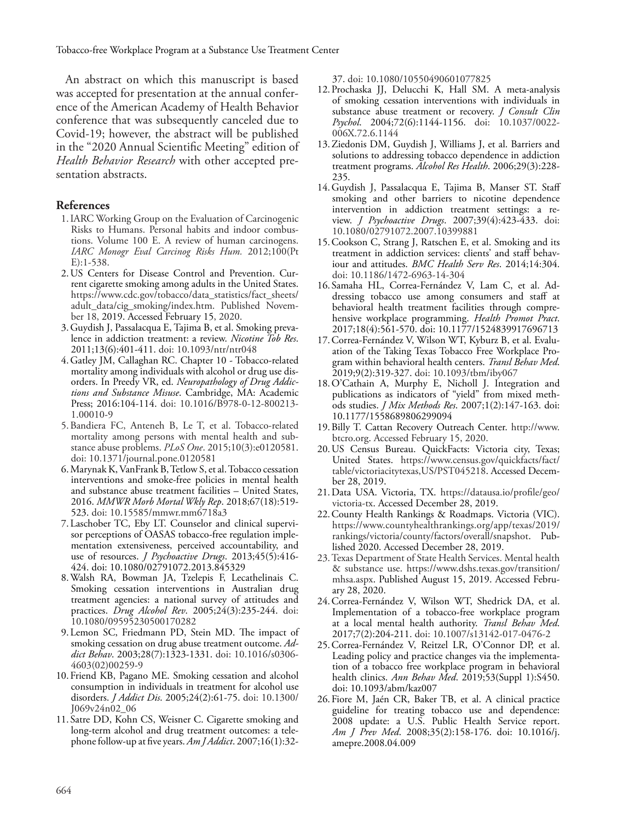Tobacco-free Workplace Program at a Substance Use Treatment Center

An abstract on which this manuscript is based was accepted for presentation at the annual conference of the American Academy of Health Behavior conference that was subsequently canceled due to Covid-19; however, the abstract will be published in the "2020 Annual Scientific Meeting" edition of *Health Behavior Research* with other accepted presentation abstracts.

## **References**

- 1.IARC Working Group on the Evaluation of Carcinogenic Risks to Humans. Personal habits and indoor combustions. Volume 100 E. A review of human carcinogens. *IARC Monogr Eval Carcinog Risks Hum.* 2012;100(Pt E):1-538.
- 2.US Centers for Disease Control and Prevention. Current cigarette smoking among adults in the United States. https://www.cdc.gov/tobacco/data\_statistics/fact\_sheets/ adult\_data/cig\_smoking/index.htm. Published November 18, 2019. Accessed February 15, 2020.
- 3.Guydish J, Passalacqua E, Tajima B, et al. Smoking prevalence in addiction treatment: a review. *Nicotine Tob Res*. 2011;13(6):401-411. doi: 10.1093/ntr/ntr048
- 4.Gatley JM, Callaghan RC. Chapter 10 Tobacco-related mortality among individuals with alcohol or drug use disorders. In Preedy VR, ed. *Neuropathology of Drug Addictions and Substance Misuse*. Cambridge, MA: Academic Press; 2016:104-114. doi: 10.1016/B978-0-12-800213- 1.00010-9
- 5.Bandiera FC, Anteneh B, Le T, et al. Tobacco-related mortality among persons with mental health and substance abuse problems. *PLoS One*. 2015;10(3):e0120581. doi: 10.1371/journal.pone.0120581
- 6.Marynak K, VanFrank B, Tetlow S, et al. Tobacco cessation interventions and smoke-free policies in mental health and substance abuse treatment facilities – United States, 2016. *MMWR Morb Mortal Wkly Rep*. 2018;67(18):519- 523. doi: 10.15585/mmwr.mm6718a3
- 7.Laschober TC, Eby LT. Counselor and clinical supervisor perceptions of OASAS tobacco-free regulation implementation extensiveness, perceived accountability, and use of resources. *J Psychoactive Drugs*. 2013;45(5):416- 424. doi: 10.1080/02791072.2013.845329
- 8.Walsh RA, Bowman JA, Tzelepis F, Lecathelinais C. Smoking cessation interventions in Australian drug treatment agencies: a national survey of attitudes and practices. *Drug Alcohol Rev*. 2005;24(3):235-244. doi: 10.1080/09595230500170282
- 9.Lemon SC, Friedmann PD, Stein MD. The impact of smoking cessation on drug abuse treatment outcome. *Addict Behav*. 2003;28(7):1323-1331. doi: 10.1016/s0306- 4603(02)00259-9
- 10.Friend KB, Pagano ME. Smoking cessation and alcohol consumption in individuals in treatment for alcohol use disorders. *J Addict Dis*. 2005;24(2):61-75. doi: 10.1300/ J069v24n02\_06
- 11. Satre DD, Kohn CS, Weisner C. Cigarette smoking and long-term alcohol and drug treatment outcomes: a telephone follow-up at five years. *Am J Addict*. 2007;16(1):32-

37. doi: 10.1080/10550490601077825

- 12.Prochaska JJ, Delucchi K, Hall SM. A meta-analysis of smoking cessation interventions with individuals in substance abuse treatment or recovery. *J Consult Clin Psychol*. 2004;72(6):1144-1156. doi: 10.1037/0022- 006X.72.6.1144
- 13.Ziedonis DM, Guydish J, Williams J, et al. Barriers and solutions to addressing tobacco dependence in addiction treatment programs. *Alcohol Res Health*. 2006;29(3):228- 235.
- 14.Guydish J, Passalacqua E, Tajima B, Manser ST. Staff smoking and other barriers to nicotine dependence intervention in addiction treatment settings: a review. *J Psychoactive Drugs*. 2007;39(4):423-433. doi: 10.1080/02791072.2007.10399881
- 15.Cookson C, Strang J, Ratschen E, et al. Smoking and its treatment in addiction services: clients' and staff behaviour and attitudes. *BMC Health Serv Res*. 2014;14:304. doi: 10.1186/1472-6963-14-304
- 16. Samaha HL, Correa-Fernández V, Lam C, et al. Addressing tobacco use among consumers and staff at behavioral health treatment facilities through comprehensive workplace programming. *Health Promot Pract*. 2017;18(4):561-570. doi: 10.1177/1524839917696713
- 17.Correa-Fernández V, Wilson WT, Kyburz B, et al. Evaluation of the Taking Texas Tobacco Free Workplace Program within behavioral health centers. *Transl Behav Med*. 2019;9(2):319-327. doi: 10.1093/tbm/iby067
- 18.O'Cathain A, Murphy E, Nicholl J. Integration and publications as indicators of "yield" from mixed methods studies. *J Mix Methods Res*. 2007;1(2):147-163. doi: 10.1177/1558689806299094
- 19.Billy T. Cattan Recovery Outreach Center. http://www. btcro.org. Accessed February 15, 2020.
- 20.US Census Bureau. QuickFacts: Victoria city, Texas; United States. https://www.census.gov/quickfacts/fact/ table/victoriacitytexas,US/PST045218. Accessed December 28, 2019.
- 21.Data USA. Victoria, TX. https://datausa.io/profile/geo/ victoria-tx. Accessed December 28, 2019.
- 22.County Health Rankings & Roadmaps. Victoria (VIC). https://www.countyhealthrankings.org/app/texas/2019/ rankings/victoria/county/factors/overall/snapshot. Published 2020. Accessed December 28, 2019.
- 23.Texas Department of State Health Services. Mental health & substance use. https://www.dshs.texas.gov/transition/ mhsa.aspx. Published August 15, 2019. Accessed February 28, 2020.
- 24.Correa-Fernández V, Wilson WT, Shedrick DA, et al. Implementation of a tobacco-free workplace program at a local mental health authority. *Transl Behav Med*. 2017;7(2):204-211. doi: 10.1007/s13142-017-0476-2
- 25.Correa-Fernández V, Reitzel LR, O'Connor DP, et al. Leading policy and practice changes via the implementation of a tobacco free workplace program in behavioral health clinics. *Ann Behav Med*. 2019;53(Suppl 1):S450. doi: 10.1093/abm/kaz007
- 26.Fiore M, Jaén CR, Baker TB, et al. A clinical practice guideline for treating tobacco use and dependence: 2008 update: a U.S. Public Health Service report. *Am J Prev Med*. 2008;35(2):158-176. doi: 10.1016/j. amepre.2008.04.009